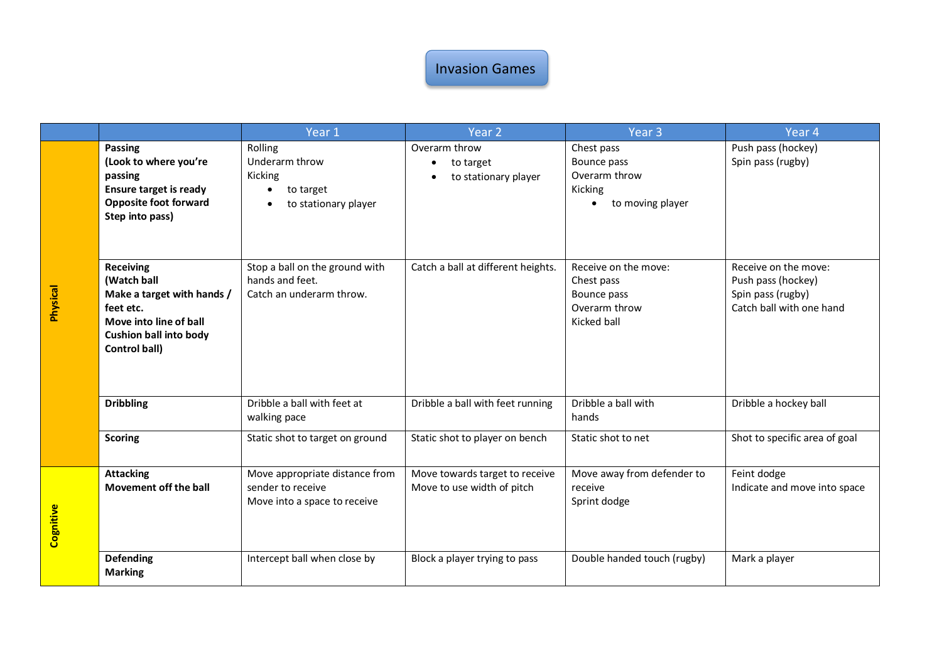## Invasion Games

|           |                                                                                                                                                        | Year 1                                                                              | Year <sub>2</sub>                                            | Year <sub>3</sub>                                                                      | Year <sub>4</sub>                                                                           |
|-----------|--------------------------------------------------------------------------------------------------------------------------------------------------------|-------------------------------------------------------------------------------------|--------------------------------------------------------------|----------------------------------------------------------------------------------------|---------------------------------------------------------------------------------------------|
| Physical  | Passing<br>(Look to where you're<br>passing<br><b>Ensure target is ready</b><br><b>Opposite foot forward</b><br>Step into pass)                        | Rolling<br>Underarm throw<br>Kicking<br>to target<br>to stationary player           | Overarm throw<br>to target<br>to stationary player           | Chest pass<br>Bounce pass<br>Overarm throw<br>Kicking<br>to moving player<br>$\bullet$ | Push pass (hockey)<br>Spin pass (rugby)                                                     |
|           | <b>Receiving</b><br>(Watch ball<br>Make a target with hands /<br>feet etc.<br>Move into line of ball<br><b>Cushion ball into body</b><br>Control ball) | Stop a ball on the ground with<br>hands and feet.<br>Catch an underarm throw.       | Catch a ball at different heights.                           | Receive on the move:<br>Chest pass<br>Bounce pass<br>Overarm throw<br>Kicked ball      | Receive on the move:<br>Push pass (hockey)<br>Spin pass (rugby)<br>Catch ball with one hand |
|           | <b>Dribbling</b>                                                                                                                                       | Dribble a ball with feet at<br>walking pace                                         | Dribble a ball with feet running                             | Dribble a ball with<br>hands                                                           | Dribble a hockey ball                                                                       |
|           | <b>Scoring</b>                                                                                                                                         | Static shot to target on ground                                                     | Static shot to player on bench                               | Static shot to net                                                                     | Shot to specific area of goal                                                               |
| Cognitive | <b>Attacking</b><br>Movement off the ball                                                                                                              | Move appropriate distance from<br>sender to receive<br>Move into a space to receive | Move towards target to receive<br>Move to use width of pitch | Move away from defender to<br>receive<br>Sprint dodge                                  | Feint dodge<br>Indicate and move into space                                                 |
|           | <b>Defending</b><br><b>Marking</b>                                                                                                                     | Intercept ball when close by                                                        | Block a player trying to pass                                | Double handed touch (rugby)                                                            | Mark a player                                                                               |